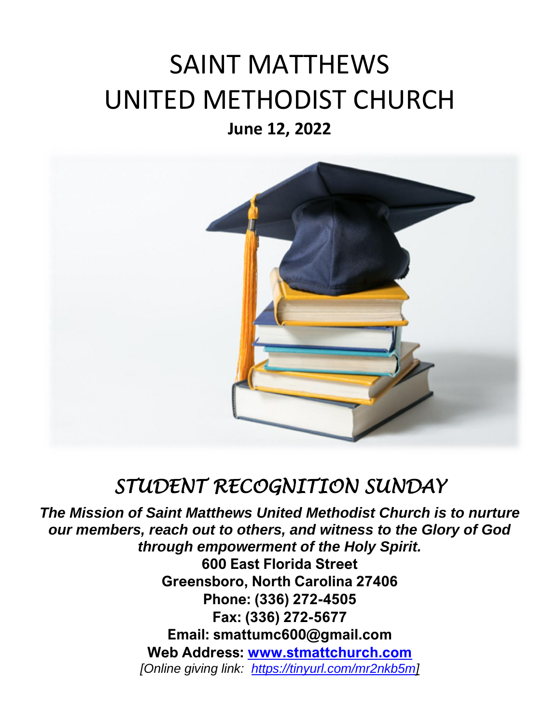## SAINT MATTHEWS UNITED METHODIST CHURCH **June 12, 2022**



## *STUDENT RECOGNITION SUNDAY*

*The Mission of Saint Matthews United Methodist Church is to nurture our members, reach out to others, and witness to the Glory of God through empowerment of the Holy Spirit.* 

**600 East Florida Street Greensboro, North Carolina 27406 Phone: (336) 272-4505 Fax: (336) 272-5677 Email: smattumc600@gmail.com Web Address: [www.stmattchurch.com](http://www.stmattchurch.com/)** *[Online giving link: [https://tinyurl.com/mr2nkb5m\]](https://tinyurl.com/mr2nkb5m)*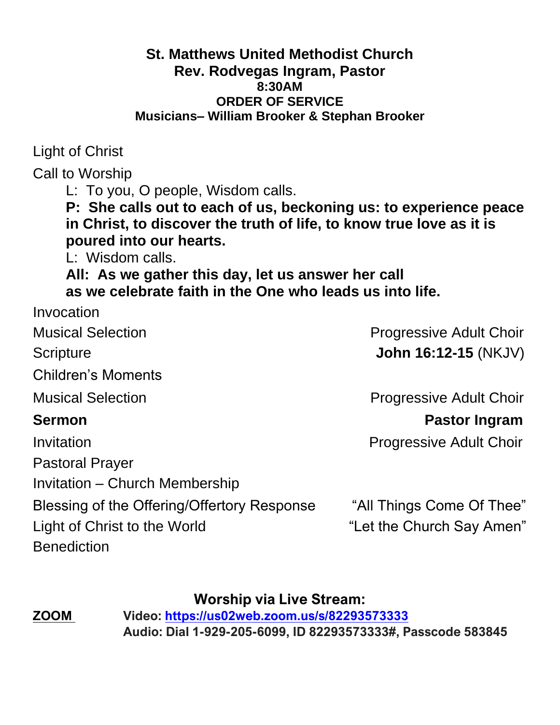#### **St. Matthews United Methodist Church Rev. Rodvegas Ingram, Pastor 8:30AM ORDER OF SERVICE Musicians– William Brooker & Stephan Brooker**

Light of Christ

Call to Worship

L: To you, O people, Wisdom calls.

**P: She calls out to each of us, beckoning us: to experience peace in Christ, to discover the truth of life, to know true love as it is poured into our hearts.**

L: Wisdom calls.

**All: As we gather this day, let us answer her call as we celebrate faith in the One who leads us into life.**

| Invocation                                  |                                |
|---------------------------------------------|--------------------------------|
| <b>Musical Selection</b>                    | <b>Progressive Adult Choir</b> |
| Scripture                                   | <b>John 16:12-15 (NKJV)</b>    |
| <b>Children's Moments</b>                   |                                |
| <b>Musical Selection</b>                    | <b>Progressive Adult Choir</b> |
| <b>Sermon</b>                               | <b>Pastor Ingram</b>           |
| Invitation                                  | <b>Progressive Adult Choir</b> |
| <b>Pastoral Prayer</b>                      |                                |
| Invitation – Church Membership              |                                |
| Blessing of the Offering/Offertory Response | "All Things Come Of Thee"      |
| Light of Christ to the World                | "Let the Church Say Amen"      |
| <b>Benediction</b>                          |                                |
|                                             |                                |

**Worship via Live Stream:**

**ZOOM Video:<https://us02web.zoom.us/s/82293573333> Audio: Dial 1-929-205-6099, ID 82293573333#, Passcode 583845**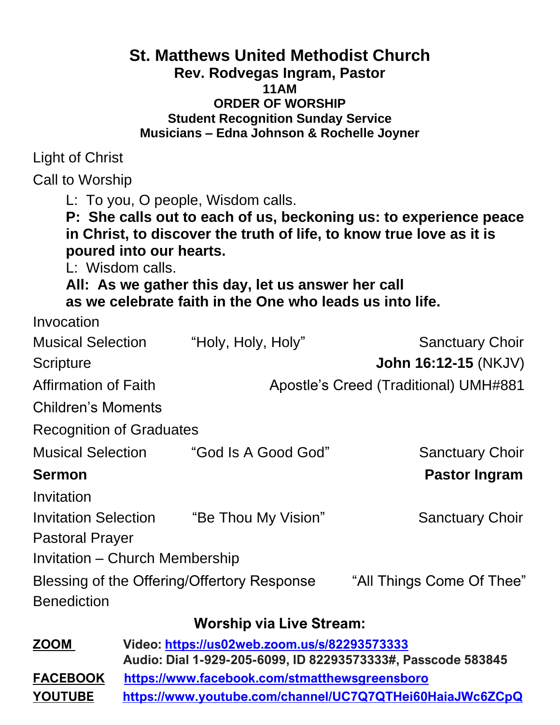#### **St. Matthews United Methodist Church Rev. Rodvegas Ingram, Pastor 11AM ORDER OF WORSHIP Student Recognition Sunday Service Musicians – Edna Johnson & Rochelle Joyner**

Light of Christ

Call to Worship

L: To you, O people, Wisdom calls.

**P: She calls out to each of us, beckoning us: to experience peace in Christ, to discover the truth of life, to know true love as it is poured into our hearts.**

L: Wisdom calls.

**All: As we gather this day, let us answer her call as we celebrate faith in the One who leads us into life.**

| Invocation                      |                                              |                                                              |
|---------------------------------|----------------------------------------------|--------------------------------------------------------------|
| <b>Musical Selection</b>        | "Holy, Holy, Holy"                           | <b>Sanctuary Choir</b>                                       |
| Scripture                       |                                              | <b>John 16:12-15 (NKJV)</b>                                  |
| <b>Affirmation of Faith</b>     |                                              | <b>Apostle's Creed (Traditional) UMH#881</b>                 |
| Children's Moments              |                                              |                                                              |
| <b>Recognition of Graduates</b> |                                              |                                                              |
| <b>Musical Selection</b>        | "God Is A Good God"                          | <b>Sanctuary Choir</b>                                       |
| <b>Sermon</b>                   |                                              | <b>Pastor Ingram</b>                                         |
| Invitation                      |                                              |                                                              |
| <b>Invitation Selection</b>     | "Be Thou My Vision"                          | <b>Sanctuary Choir</b>                                       |
| <b>Pastoral Prayer</b>          |                                              |                                                              |
| Invitation – Church Membership  |                                              |                                                              |
|                                 | Blessing of the Offering/Offertory Response  | "All Things Come Of Thee"                                    |
| <b>Benediction</b>              |                                              |                                                              |
|                                 | <b>Worship via Live Stream:</b>              |                                                              |
| <b>ZOOM</b>                     | Video: https://us02web.zoom.us/s/82293573333 |                                                              |
|                                 |                                              | Audio: Dial 1-929-205-6099, ID 82293573333#, Passcode 583845 |

**FACEBOOK <https://www.facebook.com/stmatthewsgreensboro> YOUTUBE <https://www.youtube.com/channel/UC7Q7QTHei60HaiaJWc6ZCpQ>**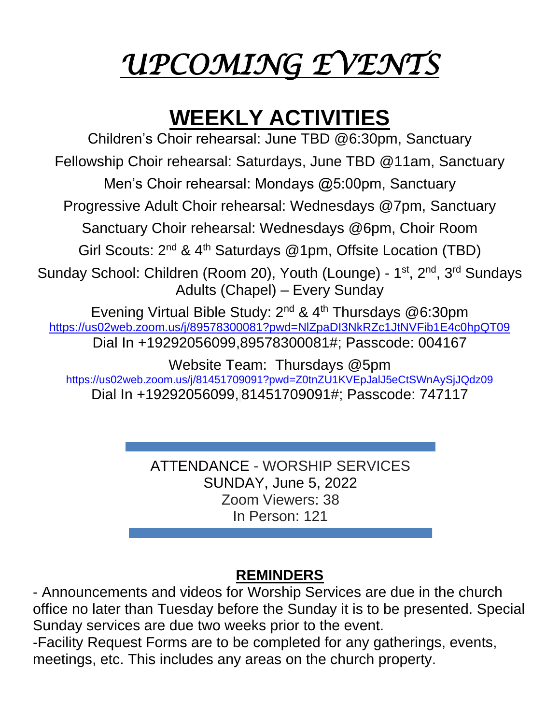# *UPCOMING EVENTS*

## **WEEKLY ACTIVITIES**

Children's Choir rehearsal: June TBD @6:30pm, Sanctuary Fellowship Choir rehearsal: Saturdays, June TBD @11am, Sanctuary Men's Choir rehearsal: Mondays @5:00pm, Sanctuary Progressive Adult Choir rehearsal: Wednesdays @7pm, Sanctuary Sanctuary Choir rehearsal: Wednesdays @6pm, Choir Room Girl Scouts: 2<sup>nd</sup> & 4<sup>th</sup> Saturdays @1pm, Offsite Location (TBD) Sunday School: Children (Room 20), Youth (Lounge) - 1<sup>st</sup>, 2<sup>nd</sup>, 3<sup>rd</sup> Sundays Adults (Chapel) – Every Sunday Evening Virtual Bible Study:  $2^{nd}$  &  $4^{th}$  Thursdays @6:30pm [https://us02web.zoom.us/j/89578300081?pwd=NlZpaDI3NkRZc1JtNVFib1E4c0hpQT09](https://www.google.com/url?q=https://us02web.zoom.us/j/89578300081?pwd%3DNlZpaDI3NkRZc1JtNVFib1E4c0hpQT09&sa=D&source=calendar&usd=2&usg=AOvVaw3umkO4vLGzFomk6owSD7Lg) Dial In +19292056099,89578300081#; Passcode: 004167 Website Team: Thursdays @5pm [https://us02web.zoom.us/j/81451709091?pwd=Z0tnZU1KVEpJalJ5eCtSWnAySjJQdz09](https://www.google.com/url?q=https://us02web.zoom.us/j/81451709091?pwd%3DZ0tnZU1KVEpJalJ5eCtSWnAySjJQdz09&sa=D&source=calendar&usd=2&usg=AOvVaw1rBJRGKNRZyuKs6Z-ZTmiK) Dial In +19292056099, 81451709091#; Passcode: 747117

> ATTENDANCE - WORSHIP SERVICES SUNDAY, June 5, 2022 Zoom Viewers: 38 In Person: 121

## **REMINDERS**

- Announcements and videos for Worship Services are due in the church office no later than Tuesday before the Sunday it is to be presented. Special Sunday services are due two weeks prior to the event.

-Facility Request Forms are to be completed for any gatherings, events, meetings, etc. This includes any areas on the church property.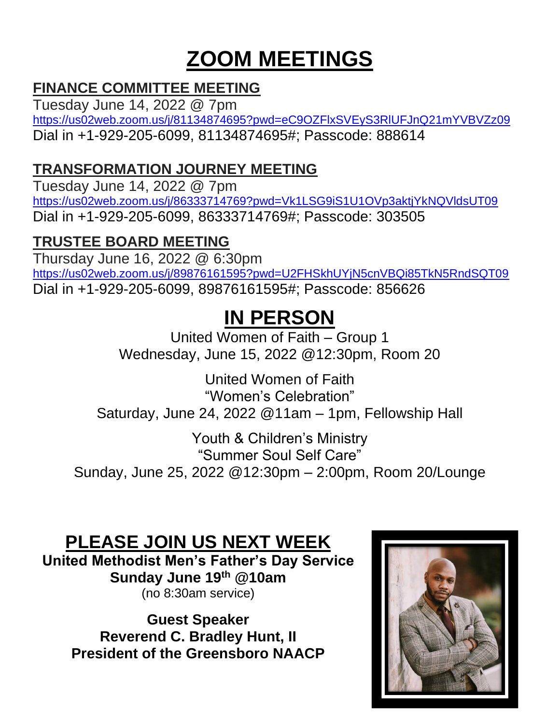## **ZOOM MEETINGS**

## **FINANCE COMMITTEE MEETING**

Tuesday June 14, 2022 @ 7pm [https://us02web.zoom.us/j/81134874695?pwd=eC9OZFlxSVEyS3RlUFJnQ21mYVBVZz09](https://www.google.com/url?q=https://us02web.zoom.us/j/81134874695?pwd%3DeC9OZFlxSVEyS3RlUFJnQ21mYVBVZz09&sa=D&source=calendar&usd=2&usg=AOvVaw0wQTCidJhdycSpv3Ar9ceQ) Dial in +1-929-205-6099, 81134874695#; Passcode: 888614

### **TRANSFORMATION JOURNEY MEETING**

Tuesday June 14, 2022 @ 7pm [https://us02web.zoom.us/j/86333714769?pwd=Vk1LSG9iS1U1OVp3aktjYkNQVldsUT09](https://www.google.com/url?q=https://us02web.zoom.us/j/86333714769?pwd%3DVk1LSG9iS1U1OVp3aktjYkNQVldsUT09&sa=D&source=calendar&usd=2&usg=AOvVaw0QzGYoxjWow9jBT381w-bm) Dial in +1-929-205-6099, 86333714769#; Passcode: 303505

## **TRUSTEE BOARD MEETING**

Thursday June 16, 2022 @ 6:30pm <https://us02web.zoom.us/j/89876161595?pwd=U2FHSkhUYjN5cnVBQi85TkN5RndSQT09> Dial in +1-929-205-6099, 89876161595#; Passcode: 856626

## **IN PERSON**

United Women of Faith – Group 1 Wednesday, June 15, 2022 @12:30pm, Room 20

United Women of Faith "Women's Celebration" Saturday, June 24, 2022 @11am – 1pm, Fellowship Hall

Youth & Children's Ministry "Summer Soul Self Care" Sunday, June 25, 2022 @12:30pm – 2:00pm, Room 20/Lounge

## **PLEASE JOIN US NEXT WEEK**

**United Methodist Men's Father's Day Service Sunday June 19th @10am** (no 8:30am service)

**Guest Speaker Reverend C. Bradley Hunt, II President of the Greensboro NAACP**

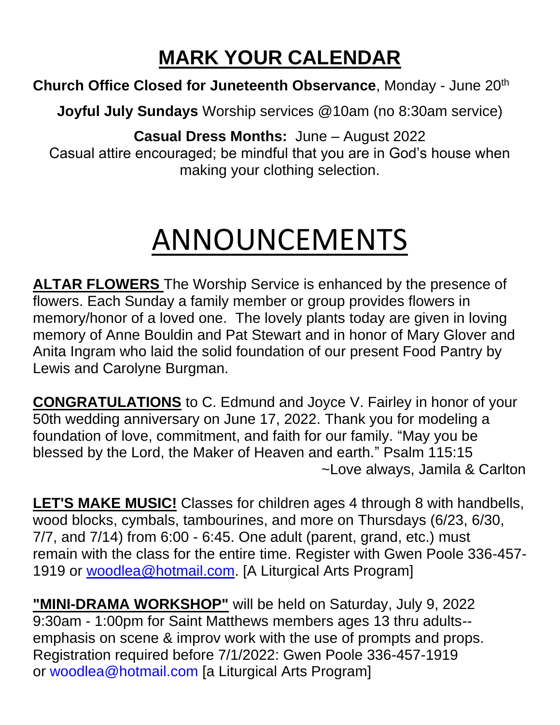## **MARK YOUR CALENDAR**

**Church Office Closed for Juneteenth Observance**, Monday - June 20th

**Joyful July Sundays** Worship services @10am (no 8:30am service)

**Casual Dress Months:** June – August 2022

Casual attire encouraged; be mindful that you are in God's house when making your clothing selection.

# ANNOUNCEMENTS

**ALTAR FLOWERS** The Worship Service is enhanced by the presence of flowers. Each Sunday a family member or group provides flowers in memory/honor of a loved one. The lovely plants today are given in loving memory of Anne Bouldin and Pat Stewart and in honor of Mary Glover and Anita Ingram who laid the solid foundation of our present Food Pantry by Lewis and Carolyne Burgman.

**CONGRATULATIONS** to C. Edmund and Joyce V. Fairley in honor of your 50th wedding anniversary on June 17, 2022. Thank you for modeling a foundation of love, commitment, and faith for our family. "May you be blessed by the Lord, the Maker of Heaven and earth." Psalm 115:15 ~Love always, Jamila & Carlton

**LET'S MAKE MUSIC!** Classes for children ages 4 through 8 with handbells, wood blocks, cymbals, tambourines, and more on Thursdays (6/23, 6/30, 7/7, and 7/14) from 6:00 - 6:45. One adult (parent, grand, etc.) must remain with the class for the entire time. Register with Gwen Poole 336-457 1919 or [woodlea@hotmail.com.](mailto:woodlea@hotmail.com) [A Liturgical Arts Program]

**"MINI-DRAMA WORKSHOP"** will be held on Saturday, July 9, 2022 9:30am - 1:00pm for Saint Matthews members ages 13 thru adults- emphasis on scene & improv work with the use of prompts and props. Registration required before 7/1/2022: Gwen Poole 336-457-1919 or [woodlea@hotmail.com](mailto:woodlea@hotmail.com) [a Liturgical Arts Program]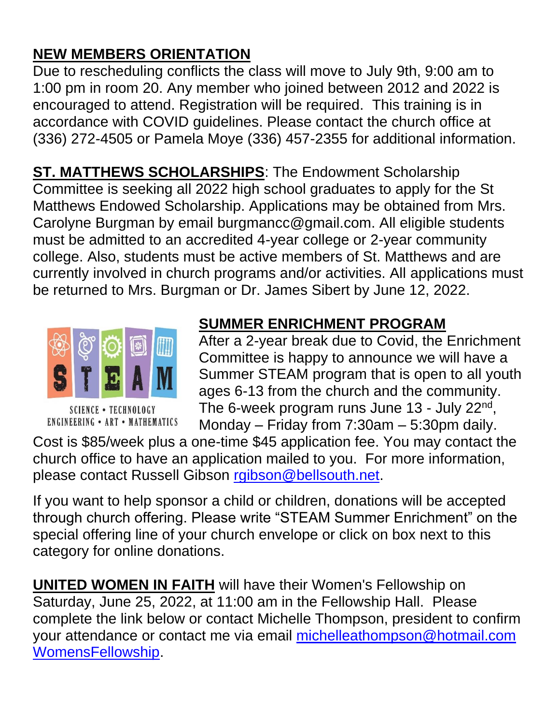## **NEW MEMBERS ORIENTATION**

Due to rescheduling conflicts the class will move to July 9th, 9:00 am to 1:00 pm in room 20. Any member who joined between 2012 and 2022 is encouraged to attend. Registration will be required. This training is in accordance with COVID guidelines. Please contact the church office at (336) 272-4505 or Pamela Moye (336) 457-2355 for additional information.

**ST. MATTHEWS SCHOLARSHIPS**: The Endowment Scholarship Committee is seeking all 2022 high school graduates to apply for the St Matthews Endowed Scholarship. Applications may be obtained from Mrs. Carolyne Burgman by email burgmancc@gmail.com. All eligible students must be admitted to an accredited 4-year college or 2-year community college. Also, students must be active members of St. Matthews and are currently involved in church programs and/or activities. All applications must be returned to Mrs. Burgman or Dr. James Sibert by June 12, 2022.



**SCIENCE • TECHNOLOGY ENGINEERING • ART • MATHEMATICS** 

## **SUMMER ENRICHMENT PROGRAM**

After a 2-year break due to Covid, the Enrichment Committee is happy to announce we will have a Summer STEAM program that is open to all youth ages 6-13 from the church and the community. The 6-week program runs June 13 - July 22<sup>nd</sup>, Monday – Friday from 7:30am – 5:30pm daily.

Cost is \$85/week plus a one-time \$45 application fee. You may contact the church office to have an application mailed to you. For more information, please contact Russell Gibson [rgibson@bellsouth.net.](mailto:rgibson@bellsouth.net)

If you want to help sponsor a child or children, donations will be accepted through church offering. Please write "STEAM Summer Enrichment" on the special offering line of your church envelope or click on box next to this category for online donations.

**UNITED WOMEN IN FAITH** will have their Women's Fellowship on Saturday, June 25, 2022, at 11:00 am in the Fellowship Hall. Please complete the link below or contact Michelle Thompson, president to confirm your attendance or contact me via email [michelleathompson@hotmail.com](mailto:michelleathompson@hotmail.com) [WomensFellowship.](https://docs.google.com/forms/d/e/1FAIpQLSdra5HA4fENskiVwZ0sF-kGWauQ0B8nhLI28ynzGsrQh4FWPA/viewform?usp=sf_link)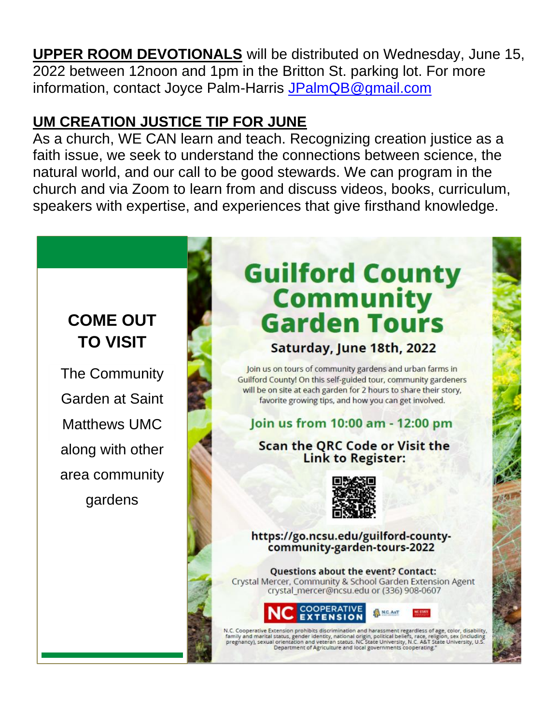**UPPER ROOM DEVOTIONALS** will be distributed on Wednesday, June 15, 2022 between 12noon and 1pm in the Britton St. parking lot. For more information, contact Joyce Palm-Harris [JPalmQB@gmail.com](mailto:JPalmQB@gmail.com)

## **UM CREATION JUSTICE TIP FOR JUNE**

As a church, WE CAN learn and teach. Recognizing creation justice as a faith issue, we seek to understand the connections between science, the natural world, and our call to be good stewards. We can program in the church and via Zoom to learn from and discuss videos, books, curriculum, speakers with expertise, and experiences that give firsthand knowledge.

## **COME OUT TO VISIT**

The Community Garden at Saint Matthews UMC along with other area community gardens

# **Guilford County Community<br>Garden Tours**

Saturday, June 18th, 2022

Join us on tours of community gardens and urban farms in Guilford County! On this self-guided tour, community gardeners will be on site at each garden for 2 hours to share their story. favorite growing tips, and how you can get involved.

#### Join us from 10:00 am - 12:00 pm

#### **Scan the QRC Code or Visit the Link to Register:**



https://go.ncsu.edu/guilford-countycommunity-garden-tours-2022

**Questions about the event? Contact:** Crystal Mercer, Community & School Garden Extension Agent crystal\_mercer@ncsu.edu or (336) 908-0607



N.C. Cooperative Extension prohibits discrimination and harassment regardless of age, color, dis<mark>a</mark>bility, family and marital status, gender identity, national origin, political beliefs, race, religion, sex (including preg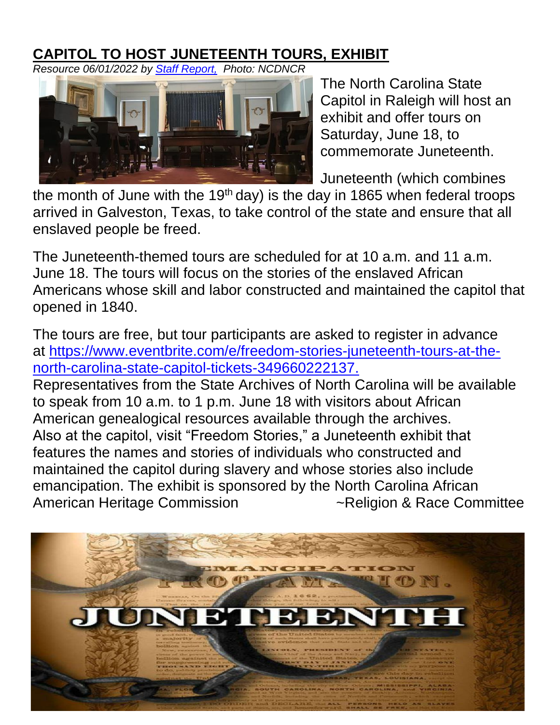## **CAPITOL TO HOST JUNETEENTH TOURS, EXHIBIT**

*Resource 06/01/2022 by [Staff Report,](https://coastalreview.org/author/staffreport/) Photo: NCDNCR*



The North Carolina State Capitol in Raleigh will host an exhibit and offer tours on Saturday, June 18, to commemorate Juneteenth.

Juneteenth (which combines

the month of June with the 19<sup>th</sup> day) is the day in 1865 when federal troops arrived in Galveston, Texas, to take control of the state and ensure that all enslaved people be freed.

The Juneteenth-themed tours are scheduled for at 10 a.m. and 11 a.m. June 18. The tours will focus on the stories of the enslaved African Americans whose skill and labor constructed and maintained the capitol that opened in 1840.

The tours are free, but tour participants are asked to register in advance at [https://www.eventbrite.com/e/freedom-stories-juneteenth-tours-at-the](https://u7061146.ct.sendgrid.net/ls/click?upn=4tNED-2FM8iDZJQyQ53jATURH3PpCPxZ-2BH6HAI51dLxR5qQJ68VmzTWNjJGy9HL7gHKtIFjjFH7N5ZI1voE-2Fc3yFP7EZFuWUFjgxlxTG5gX3gBBaaz0DgggZMYWQuCUvROyykmvaz0rbEAGjPo5h3A5H84h0hP4odPQRW5lp0S0Tk-3DpXU1_jrUqf5zwH7FzSx1F7hMR7-2FjQNZm1ybgIkK8nT6npAYADwq5MGPfk6e8i0wkeSvdpPTOtPOjMW6rnR3a8XA3NoSbJ3tYil24xvCBQu-2B2H1qUzVLNTT8QdcP8BUGMJU0uM7fipztUD8Row6fR2XdGwskyR1dDVLEesnjw9AVz1NAt9v61Xre1DZQmpA9sPXJ4sFMY0LOF-2FIrqERWImgjh4Kyftk8hFuMHh4bZUwJ1g48rp4i9k3ZQWO1DT8qiiTsz-2FTsySzi5Gyt0JxN9VVZDDtbiOwePbpHTq-2BQNEb8RkGWpLiT4e3KnbaN8uswEjbI4KPxevPw0ysKRSZM2YiT582RzLoCr6ev95AnfLFbxCZv4-3D)[north-carolina-state-capitol-tickets-349660222137.](https://u7061146.ct.sendgrid.net/ls/click?upn=4tNED-2FM8iDZJQyQ53jATURH3PpCPxZ-2BH6HAI51dLxR5qQJ68VmzTWNjJGy9HL7gHKtIFjjFH7N5ZI1voE-2Fc3yFP7EZFuWUFjgxlxTG5gX3gBBaaz0DgggZMYWQuCUvROyykmvaz0rbEAGjPo5h3A5H84h0hP4odPQRW5lp0S0Tk-3DpXU1_jrUqf5zwH7FzSx1F7hMR7-2FjQNZm1ybgIkK8nT6npAYADwq5MGPfk6e8i0wkeSvdpPTOtPOjMW6rnR3a8XA3NoSbJ3tYil24xvCBQu-2B2H1qUzVLNTT8QdcP8BUGMJU0uM7fipztUD8Row6fR2XdGwskyR1dDVLEesnjw9AVz1NAt9v61Xre1DZQmpA9sPXJ4sFMY0LOF-2FIrqERWImgjh4Kyftk8hFuMHh4bZUwJ1g48rp4i9k3ZQWO1DT8qiiTsz-2FTsySzi5Gyt0JxN9VVZDDtbiOwePbpHTq-2BQNEb8RkGWpLiT4e3KnbaN8uswEjbI4KPxevPw0ysKRSZM2YiT582RzLoCr6ev95AnfLFbxCZv4-3D) Representatives from the State Archives of North Carolina will be available to speak from 10 a.m. to 1 p.m. June 18 with visitors about African American genealogical resources available through the archives. Also at the capitol, visit "Freedom Stories," a Juneteenth exhibit that features the names and stories of individuals who constructed and maintained the capitol during slavery and whose stories also include emancipation. The exhibit is sponsored by the North Carolina African American Heritage Commission **Example 2** - Religion & Race Committee

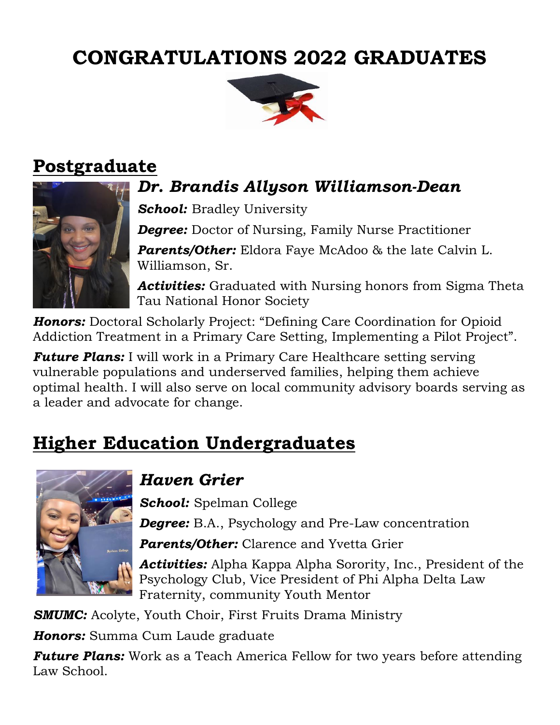## **CONGRATULATIONS 2022 GRADUATES**



## **Postgraduate**



## *Dr. Brandis Allyson Williamson-Dean*

*School:* Bradley University

*Degree: Doctor of Nursing, Family Nurse Practitioner* 

*Parents/Other:* Eldora Faye McAdoo & the late Calvin L. Williamson, Sr.

*Activities:* Graduated with Nursing honors from Sigma Theta Tau National Honor Society

*Honors:* Doctoral Scholarly Project: "Defining Care Coordination for Opioid Addiction Treatment in a Primary Care Setting, Implementing a Pilot Project".

*Future Plans:* I will work in a Primary Care Healthcare setting serving vulnerable populations and underserved families, helping them achieve optimal health. I will also serve on local community advisory boards serving as a leader and advocate for change.

## **Higher Education Undergraduates**



## *Haven Grier*

*School:* Spelman College **Degree:** B.A., Psychology and Pre-Law concentration

*Parents/Other:* Clarence and Yvetta Grier

*Activities:* Alpha Kappa Alpha Sorority, Inc., President of the Psychology Club, Vice President of Phi Alpha Delta Law Fraternity, community Youth Mentor

**SMUMC:** Acolyte, Youth Choir, First Fruits Drama Ministry

*Honors:* Summa Cum Laude graduate

*Future Plans:* Work as a Teach America Fellow for two years before attending Law School.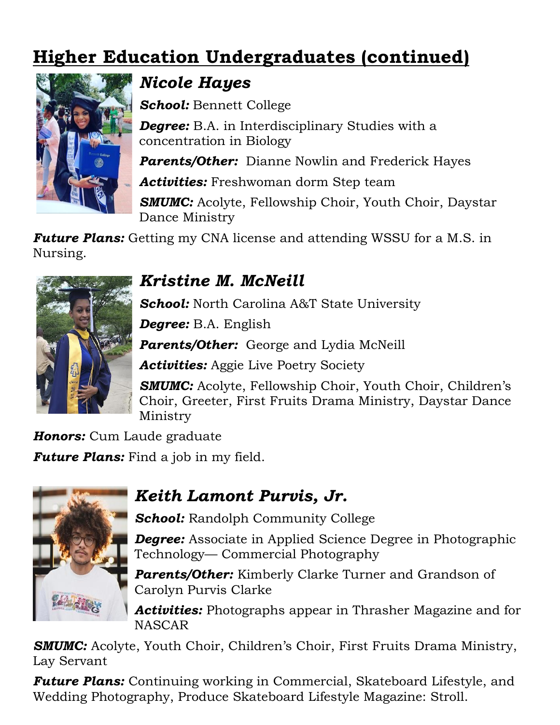## **Higher Education Undergraduates (continued)**



## *Nicole Hayes*

*School:* Bennett College

**Degree:** B.A. in Interdisciplinary Studies with a concentration in Biology

*Parents/Other:* Dianne Nowlin and Frederick Hayes

*Activities:* Freshwoman dorm Step team

**SMUMC:** Acolyte, Fellowship Choir, Youth Choir, Daystar Dance Ministry

*Future Plans:* Getting my CNA license and attending WSSU for a M.S. in Nursing.



## *Kristine M. McNeill*

*School:* North Carolina A&T State University

*Degree:* B.A. English

*Parents/Other:* George and Lydia McNeill

*Activities:* Aggie Live Poetry Society

**SMUMC:** Acolyte, Fellowship Choir, Youth Choir, Children's Choir, Greeter, First Fruits Drama Ministry, Daystar Dance Ministry

*Honors:* Cum Laude graduate *Future Plans:* Find a job in my field.

## *Keith Lamont Purvis, Jr.*

*School:* Randolph Community College

*Degree:* Associate in Applied Science Degree in Photographic Technology— Commercial Photography

*Parents/Other:* Kimberly Clarke Turner and Grandson of Carolyn Purvis Clarke

*Activities:* Photographs appear in Thrasher Magazine and for **NASCAR** 

**SMUMC:** Acolyte, Youth Choir, Children's Choir, First Fruits Drama Ministry, Lay Servant

*Future Plans:* Continuing working in Commercial, Skateboard Lifestyle, and Wedding Photography, Produce Skateboard Lifestyle Magazine: Stroll.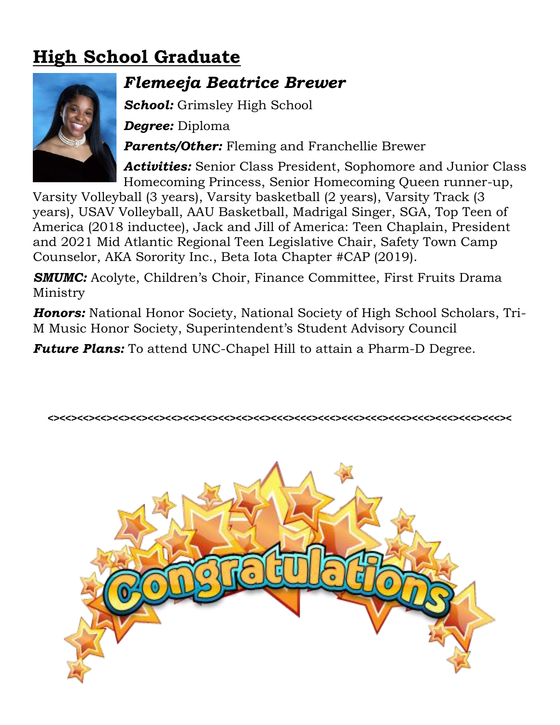## **High School Graduate**



## *Flemeeja Beatrice Brewer*

*School:* Grimsley High School

*Degree:* Diploma

*Parents/Other:* Fleming and Franchellie Brewer

*Activities:* Senior Class President, Sophomore and Junior Class Homecoming Princess, Senior Homecoming Queen runner-up,

Varsity Volleyball (3 years), Varsity basketball (2 years), Varsity Track (3 years), USAV Volleyball, AAU Basketball, Madrigal Singer, SGA, Top Teen of America (2018 inductee), Jack and Jill of America: Teen Chaplain, President and 2021 Mid Atlantic Regional Teen Legislative Chair, Safety Town Camp Counselor, AKA Sorority Inc., Beta Iota Chapter #CAP (2019).

**SMUMC:** Acolyte, Children's Choir, Finance Committee, First Fruits Drama Ministry

*Honors:* National Honor Society, National Society of High School Scholars, Tri-M Music Honor Society, Superintendent's Student Advisory Council

*Future Plans:* To attend UNC-Chapel Hill to attain a Pharm-D Degree.



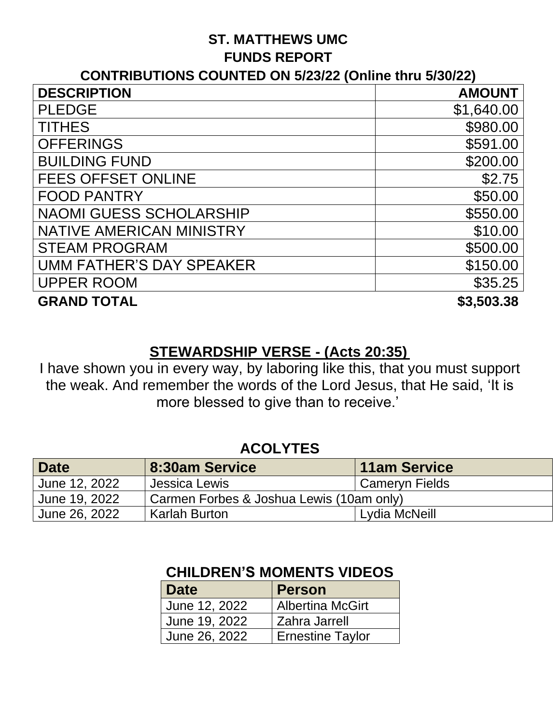#### **ST. MATTHEWS UMC FUNDS REPORT**

#### **CONTRIBUTIONS COUNTED ON 5/23/22 (Online thru 5/30/22)**

| <b>DESCRIPTION</b>              | <b>AMOUNT</b> |
|---------------------------------|---------------|
| <b>PLEDGE</b>                   | \$1,640.00    |
| <b>TITHES</b>                   | \$980.00      |
| <b>OFFERINGS</b>                | \$591.00      |
| <b>BUILDING FUND</b>            | \$200.00      |
| <b>FEES OFFSET ONLINE</b>       | \$2.75        |
| <b>FOOD PANTRY</b>              | \$50.00       |
| <b>NAOMI GUESS SCHOLARSHIP</b>  | \$550.00      |
| <b>NATIVE AMERICAN MINISTRY</b> | \$10.00       |
| <b>STEAM PROGRAM</b>            | \$500.00      |
| <b>UMM FATHER'S DAY SPEAKER</b> | \$150.00      |
| <b>UPPER ROOM</b>               | \$35.25       |
| <b>GRAND TOTAL</b>              | \$3,503.38    |

#### **STEWARDSHIP VERSE - (Acts 20:35)**

I have shown you in every way, by laboring like this, that you must support the weak. And remember the words of the Lord Jesus, that He said, 'It is more blessed to give than to receive.'

#### **ACOLYTES**

| <b>Date</b>   | 8:30am Service                           | <b>11am Service</b>         |
|---------------|------------------------------------------|-----------------------------|
| June 12, 2022 | , Jessica Lewis                          | <sup>1</sup> Cameryn Fields |
| June 19, 2022 | Carmen Forbes & Joshua Lewis (10am only) |                             |
| June 26, 2022 | <b>Karlah Burton</b>                     | Lydia McNeill               |

| Date          | Person                  |
|---------------|-------------------------|
| June 12, 2022 | <b>Albertina McGirt</b> |
| June 19, 2022 | Zahra Jarrell           |
| June 26, 2022 | <b>Ernestine Taylor</b> |

#### **CHILDREN'S MOMENTS VIDEOS**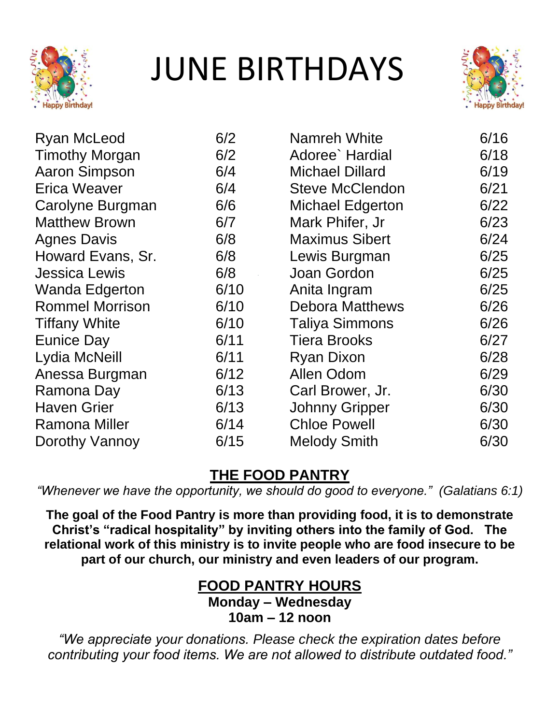

# JUNE BIRTHDAYS



| <b>Ryan McLeod</b>     | 6/2  | Namreh White            | 6/16 |
|------------------------|------|-------------------------|------|
| <b>Timothy Morgan</b>  | 6/2  | Adoree` Hardial         | 6/18 |
| <b>Aaron Simpson</b>   | 6/4  | <b>Michael Dillard</b>  | 6/19 |
| <b>Erica Weaver</b>    | 6/4  | <b>Steve McClendon</b>  | 6/21 |
| Carolyne Burgman       | 6/6  | <b>Michael Edgerton</b> | 6/22 |
| <b>Matthew Brown</b>   | 6/7  | Mark Phifer, Jr         | 6/23 |
| <b>Agnes Davis</b>     | 6/8  | <b>Maximus Sibert</b>   | 6/24 |
| Howard Evans, Sr.      | 6/8  | Lewis Burgman           | 6/25 |
| <b>Jessica Lewis</b>   | 6/8  | Joan Gordon             | 6/25 |
| <b>Wanda Edgerton</b>  | 6/10 | Anita Ingram            | 6/25 |
| <b>Rommel Morrison</b> | 6/10 | <b>Debora Matthews</b>  | 6/26 |
| <b>Tiffany White</b>   | 6/10 | <b>Taliya Simmons</b>   | 6/26 |
| <b>Eunice Day</b>      | 6/11 | <b>Tiera Brooks</b>     | 6/27 |
| Lydia McNeill          | 6/11 | <b>Ryan Dixon</b>       | 6/28 |
| Anessa Burgman         | 6/12 | <b>Allen Odom</b>       | 6/29 |
| Ramona Day             | 6/13 | Carl Brower, Jr.        | 6/30 |
| <b>Haven Grier</b>     | 6/13 | <b>Johnny Gripper</b>   | 6/30 |
| <b>Ramona Miller</b>   | 6/14 | <b>Chloe Powell</b>     | 6/30 |
| Dorothy Vannoy         | 6/15 | <b>Melody Smith</b>     | 6/30 |

## **THE FOOD PANTRY**

*"Whenever we have the opportunity, we should do good to everyone." (Galatians 6:1)*

**The goal of the Food Pantry is more than providing food, it is to demonstrate Christ's "radical hospitality" by inviting others into the family of God. The relational work of this ministry is to invite people who are food insecure to be part of our church, our ministry and even leaders of our program.** 

## **FOOD PANTRY HOURS**

**Monday – Wednesday 10am – 12 noon**

*"We appreciate your donations. Please check the expiration dates before contributing your food items. We are not allowed to distribute outdated food."*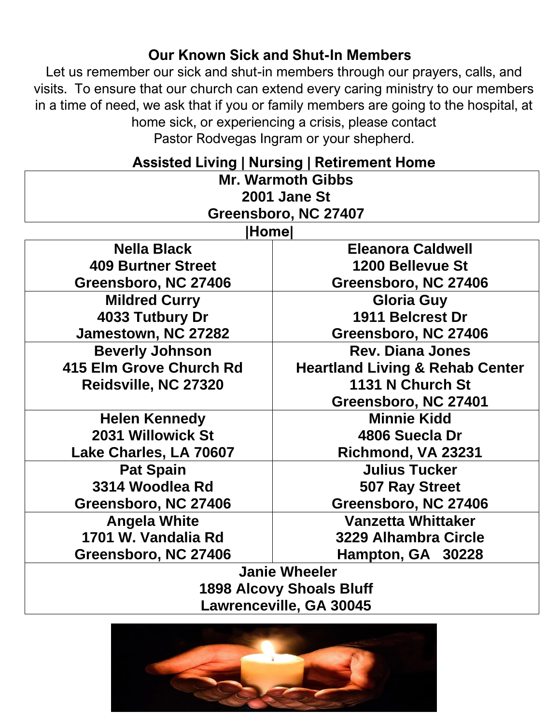### **Our Known Sick and Shut-In Members**

Let us remember our sick and shut-in members through our prayers, calls, and visits. To ensure that our church can extend every caring ministry to our members in a time of need, we ask that if you or family members are going to the hospital, at home sick, or experiencing a crisis, please contact Pastor Rodvegas Ingram or your shepherd.

| <b>Assisted Living   Nursing   Retirement Home</b> |                                            |  |
|----------------------------------------------------|--------------------------------------------|--|
| <b>Mr. Warmoth Gibbs</b>                           |                                            |  |
| 2001 Jane St                                       |                                            |  |
|                                                    | Greensboro, NC 27407                       |  |
| <b>Home</b>                                        |                                            |  |
| <b>Nella Black</b>                                 | <b>Eleanora Caldwell</b>                   |  |
| <b>409 Burtner Street</b>                          | 1200 Bellevue St                           |  |
| Greensboro, NC 27406                               | Greensboro, NC 27406                       |  |
| <b>Mildred Curry</b>                               | <b>Gloria Guy</b>                          |  |
| 4033 Tutbury Dr                                    | 1911 Belcrest Dr                           |  |
| Jamestown, NC 27282                                | Greensboro, NC 27406                       |  |
| <b>Beverly Johnson</b>                             | <b>Rev. Diana Jones</b>                    |  |
| 415 Elm Grove Church Rd                            | <b>Heartland Living &amp; Rehab Center</b> |  |
| Reidsville, NC 27320                               | 1131 N Church St                           |  |
|                                                    | Greensboro, NC 27401                       |  |
| <b>Helen Kennedy</b>                               | <b>Minnie Kidd</b>                         |  |
| 2031 Willowick St                                  | 4806 Suecla Dr                             |  |
| Lake Charles, LA 70607                             | Richmond, VA 23231                         |  |
| <b>Pat Spain</b>                                   | <b>Julius Tucker</b>                       |  |
| 3314 Woodlea Rd                                    | 507 Ray Street                             |  |
| Greensboro, NC 27406                               | Greensboro, NC 27406                       |  |
| <b>Angela White</b>                                | <b>Vanzetta Whittaker</b>                  |  |
| 1701 W. Vandalia Rd                                | 3229 Alhambra Circle                       |  |
| Greensboro, NC 27406                               | Hampton, GA 30228                          |  |
| <b>Janie Wheeler</b>                               |                                            |  |
| $1000$ Alaavu Chaale Dluff                         |                                            |  |

**1898 Alcovy Shoals Bluff Lawrenceville, GA 30045**